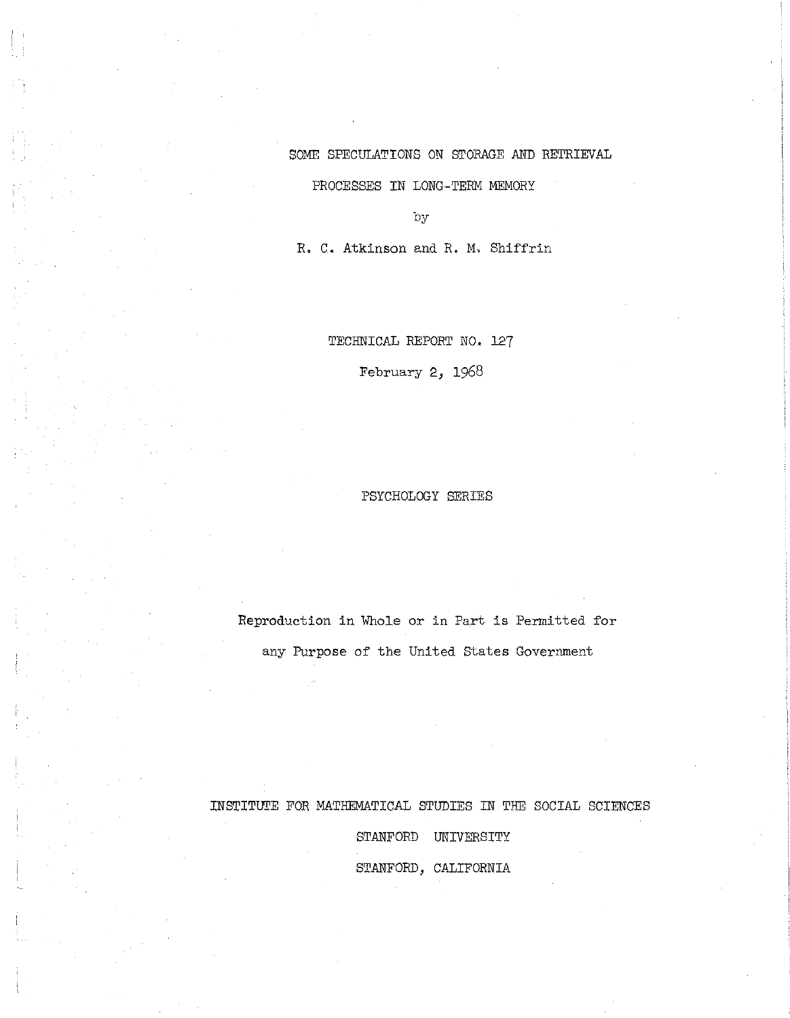# SOME SPECULATIONS ON STORAGE AND RETRIEVAL

PROCESSES IN LONG-TERM MEMORY

by

R. C. Atkinson and R. M. Shiffrin

TECHNICAL REPORT NO. 127

February 2, 1968

## PSYCHOLOGY SERIES

Reproduction in Whole or in Part is Permitted for any Purpose of the United States Government

INSTITUTE FOR MATHEMATICAL STUDIES IN THE SOCIAL SCIENCES

STANFORD UNIVERSITY STANFORD, CALIFORNIA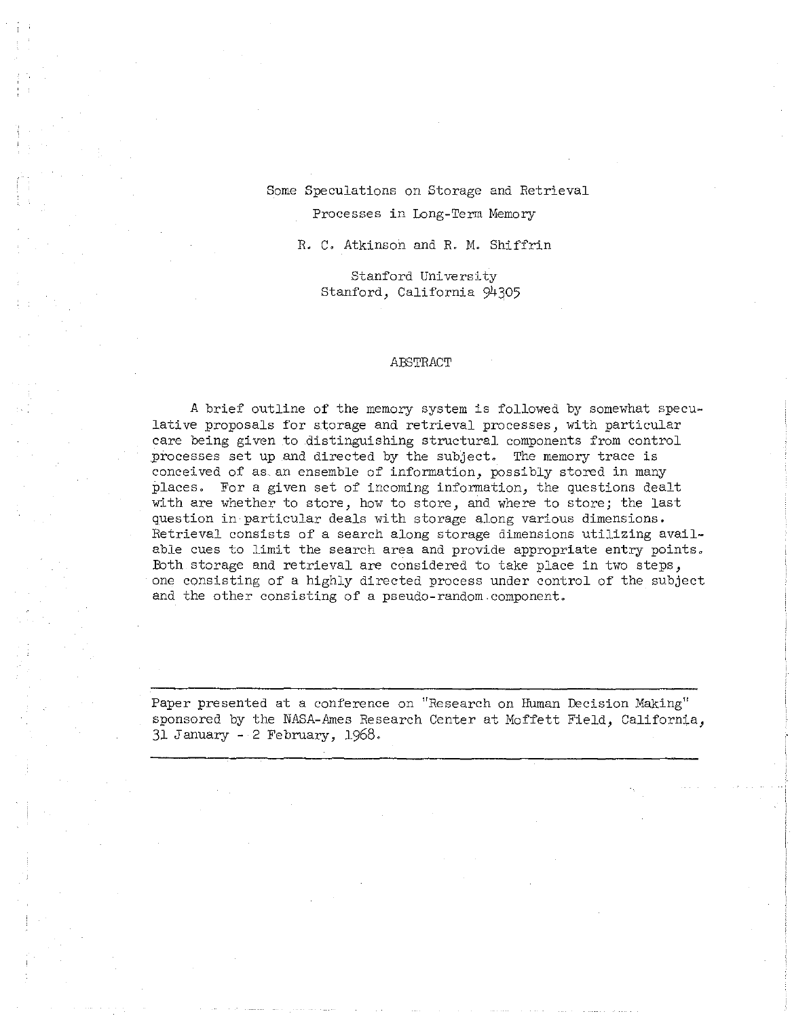Some Speculations on Storage and Retrieval Processes in Long-Term Memory

R. C. Atkinson and R. M. Shiffrin

Stanford University Stanford, California 94305

#### ABSTRACT

A brief outline of the memory system is followed by somewhat speculative proposals for storage and retrieval processes, with particular care being given to .distinguishing structural components from control processes set up and directed by the subject. The memory trace is conceived of as an ensemble of information, possibly stored in many places. For a given set of incoming information, the questions dealt with are whether to store, how to store, and where to store; the last question in particular deals with storage along various dimensions. Retrieval consists of a search along storage dimensions utilizing available cues to limit the search area and provide appropriate entry points. Both storage and retrieval are considered to take place in two steps, one consisting of a highly directed process under control of the subject and the other consisting of a pseudo-random.component.

Paper presented at a conference on "Research on Human Decision Making" sponsored by the NASA-Ames Research Center at Moffett Field, California, 31 January - 2 February, 1968.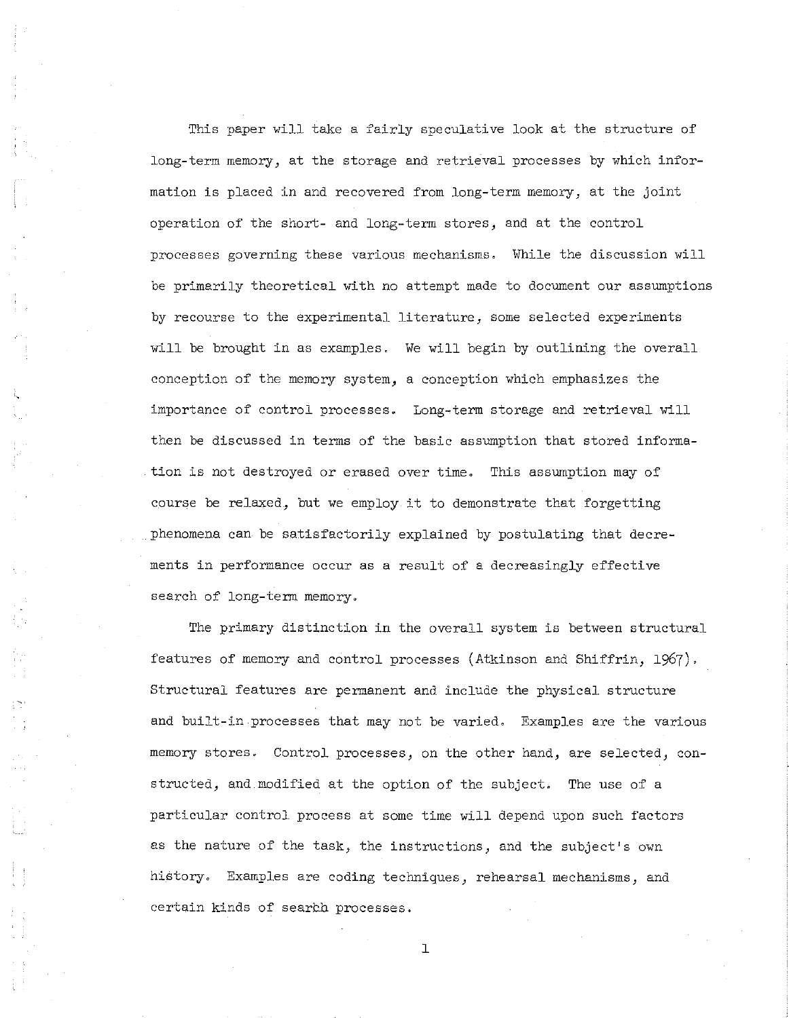This paper will take a fairly speculative look at the structure of long-term memory, at the storage and retrieval processes by which information is placed in and recovered from long-term memory, at the joint operation of the short- and long-term stores, and at the control processes governing these various mechanisms. While the discussion will be primarily theoretical with no attempt made to document our assumptions by recourse to the experimental literature, some selected experiments will be brought in as examples. We will begin by outlining the overall conception of the memory system, a conception which emphasizes the importance of control processes. Long-term storage and retrieval will then be discussed in terms of the basic assumption that stored information is not destroyed or erased over time. This assumption may of course be relaxed, but we employ it to demonstrate that forgetting phenomena can be satisfactorily explained by postulating that decrements in performance occur as a result of a decreasingly effective search of long-term memory.

The primary distinction in the overall system is between structural features of memory and control processes (Atkinson and Shiffrin, 1967). Structural features are permanent and include the physical structure and built-in processes that may not be varied. Examples are the various memory stores. Control processes, on the other hand, are selected, constructed, and modified at the option of the subject. The use of a particular control process at some time will depend upon such factors as the nature of the task, the instructions, and the subject's own history. Examples are coding techniques, rehearsal mechanisms, and certain kinds of search processes.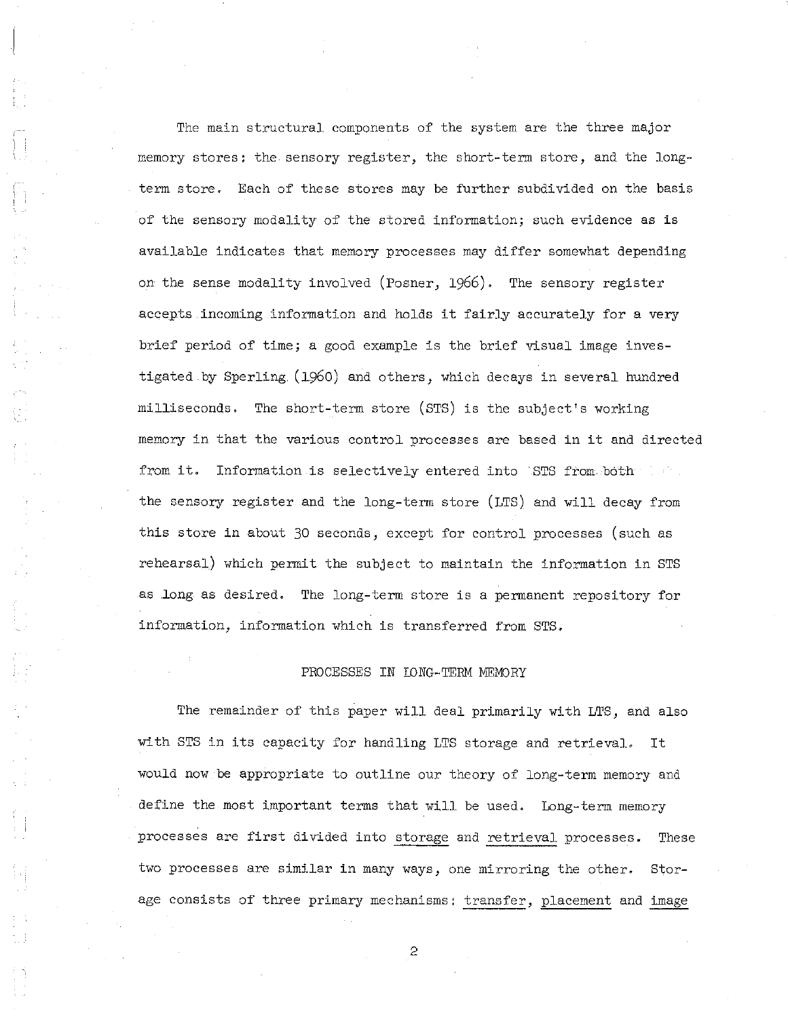The main structural components of the system are the three major memory stores; the sensory register, the short-term store, and the longterm store. Each of these stores may be further subdivided on the basis of the sensory modality of the stored information; such evidence as is available indicates that memory processes may differ somewhat depending on the sense modality involved (Posner, 1966). The sensory register accepts incoming information and holds it fairly accurately for a very brief period of time; a good example is the brief visual image investigated by Sperling (1960) and others, which decays in several hundred milliseconds. The short-term store (STS) is the subject's working memory in that the various control processes are based in it and directed from it. Information is selectively entered into .STS from both the . the sensory register and the long-term store (LTS) and will decay from this store in about 30 seconds, except for control processes (such as rehearsal) which permit the subject to maintain the information in STS as .long as desired. The long-term store is a permanent repository for information, information which is transferred from STS.

#### PROCESSES IN IDNG-TERM MEMORY

The remainder of this paper will deal primarily with LTS, and also with STS in its capacity for handling LTS storage and retrieval. It would now be appropriate to outline our theory of long-term memory and define the most important terms that will be used. Long-term memory processes are first divided into storage and retrieval processes. These two processes are similar in many ways, one mirroring the other. Storage consists of three primary mechanisms: transfer, placement and image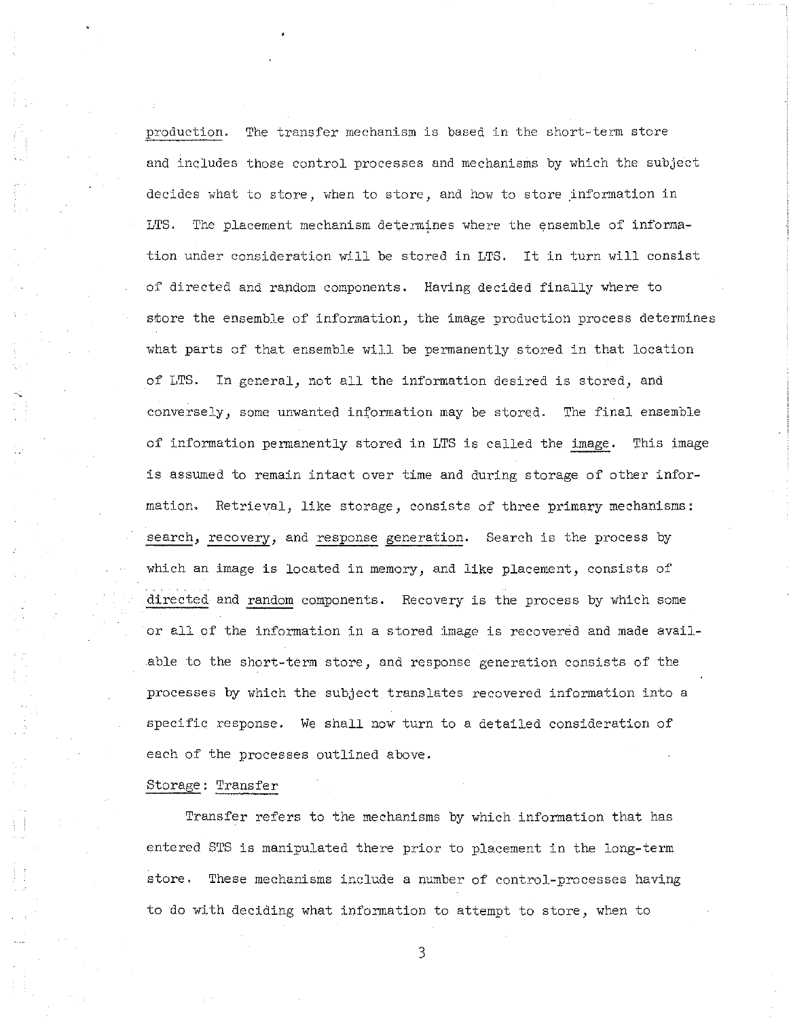production. The transfer mechanism is based in the short-term store and includes those control processes and mechanisms by which the subject decides what to store, when to store, and how to store information in LTS. The placement mechanism determines where the ensemble of information under consideration will be stored in LTS. It in turn will consist of directed and random components. Having decided finally where to store the ensemble of information, the image production process determines what parts of that ensemble will be permanently stored in that location of LTS. In general, not all the information desired is stored, and conversely, some unwanted information may be stored. The final ensemble of information permanently stored in LTS is called the image. This image is assumed to remain intact over time and during storage of other information. Retrieval, like storage, consists of three primary mechanisms: search, recovery, and response generation. Search is the process by which an image is located in memory, and like placement, consists of directed and random components. Recovery is the process by which some or all of the information in a stored image is recovered and made available to the short-term store, and response generation consists of the processes by which the subject translates recovered information into a specific response. We shall now turn to a detailed consideration of each of the processes outlined above.

### Storage: Transfer

Transfer refers to the mechanisms by which information that has entered STS is manipulated there prior to placement in the long-term store. These mechanisms include a number of control-processes having to do with deciding what information to attempt to store, when to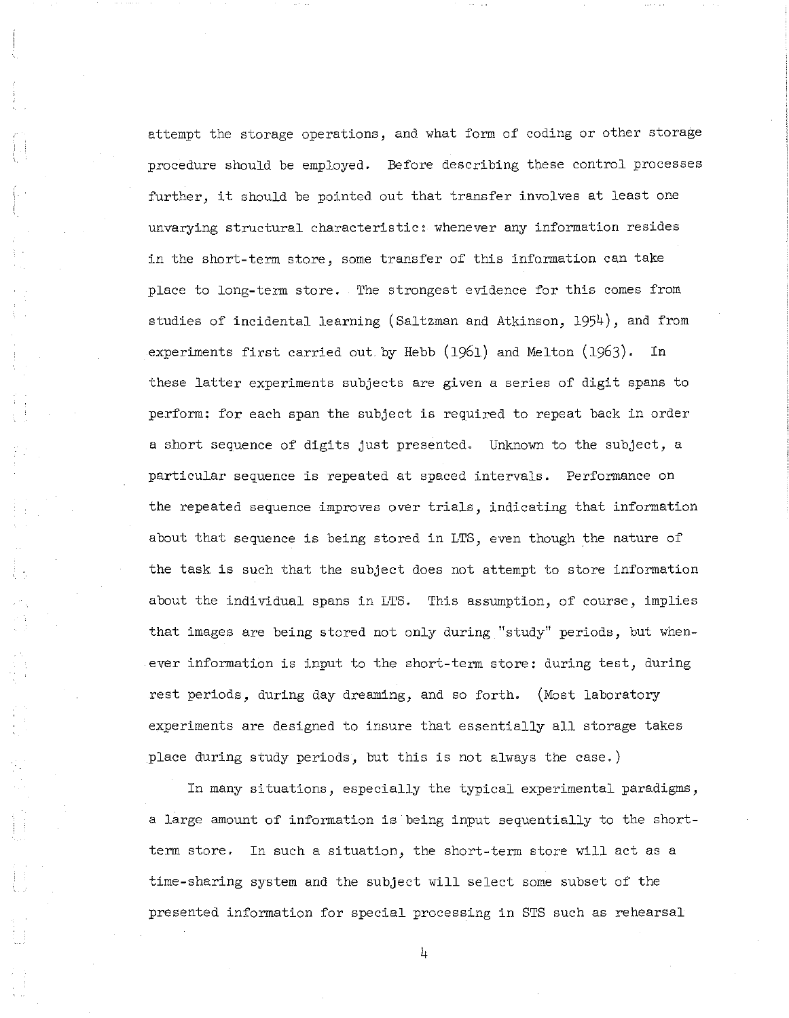attempt the storage operations, and what form of coding or other storage procedure should be employed. Before describing these control processes further, it should be pointed out that transfer involves at least one unvarying structural characteristic: whenever any information resides in the short-term store, some transfer of this information can take place to long-term store. The strongest evidence for this comes from studies of incidental learning (Saltzman and Atkinson, 1954), and from experiments first carried out by Hebb (1961) and Melton (1963). In these latter experiments subjects are given a series of digit spans to perform: for each span the subject is required to repeat back in order a short sequence of digits just presented. Unknown to the subject, a particular sequence is repeated at spaced intervals. Performance on the repeated sequence improves over trials, indicating that information about that sequence is being stored in LTS, even though the nature of the task is such that the subject does not attempt to store information about the individual spans in LTS. This assumption, of course, implies that images are being stored not only during "study" periods, but whenever information is input to the short-term store: during test, during rest periods, during day dreaming, and so forth. (Most laboratory experiments are designed to insure that essentially all storage takes place during study periods, but this is not always the case.)

In many situations, especially the typical experimental paradigms, a large amount of information is being input sequentially to the shortterm store. In such a situation, the short-term store will act as a time-sharing system and the subject will select some subset of the presented information for special processing in STS such as rehearsal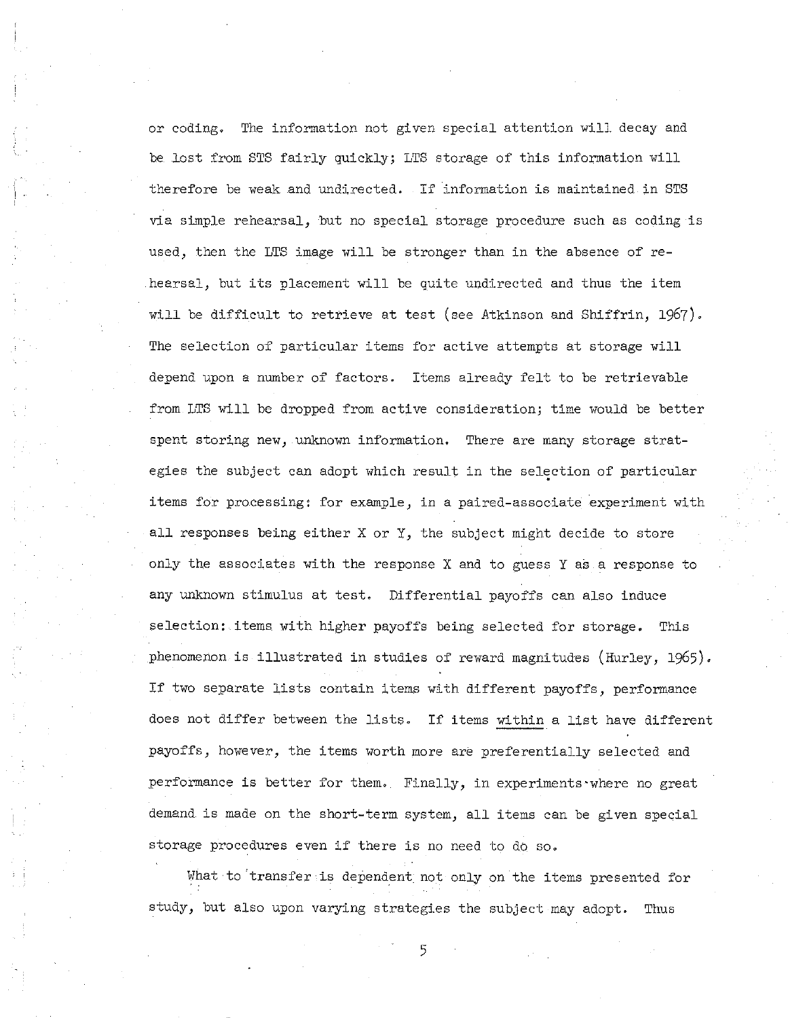or coding. The information not given special attention will decay and be lost from STS fairly quickly; LTS storage of this information will therefore be weak and undirected. If information is maintained in STS via simple rehearsal, but no special storage procedure such as coding is used, then the LTS image will be stronger than in the absence of rehearsal, but its placement will be quite undirected and thus the item will be difficult to retrieve at test (see Atkinson and Shiffrin, 1967). The selection of particular items for active attempts at storage will depend upon a number of factors. Items already felt to be retrievable from LTS will be dropped from active consideration; time would be better spent storing new, unknown information. There are many storage strategies the subject can adopt which result in the selection of particular items for processing: for example, in a paired-associate experiment with all responses being either X or X, the subject might decide to store only the associates with the response X and to guess Y as a response to any unknown stimulus at test. Differential payoffs can also induce selection: items with higher payoffs being selected for storage. This phenomenon is illustrated in studies of reward magnitudes (Hurley, 1965). If two separate lists contain items with different payoffs, performance does not differ between the lists. If items within <sup>a</sup> list have different payoffs, however, the items worth more are preferentially selected and performance is better for them. Finally, in experiments'where no great demand is made on the short-term system, all items can be given special storage procedures even if there is no need to do so.

What to 'transfer is dependent not only on the items presented for study, but also upon varying strategies the subject may adopt. Thus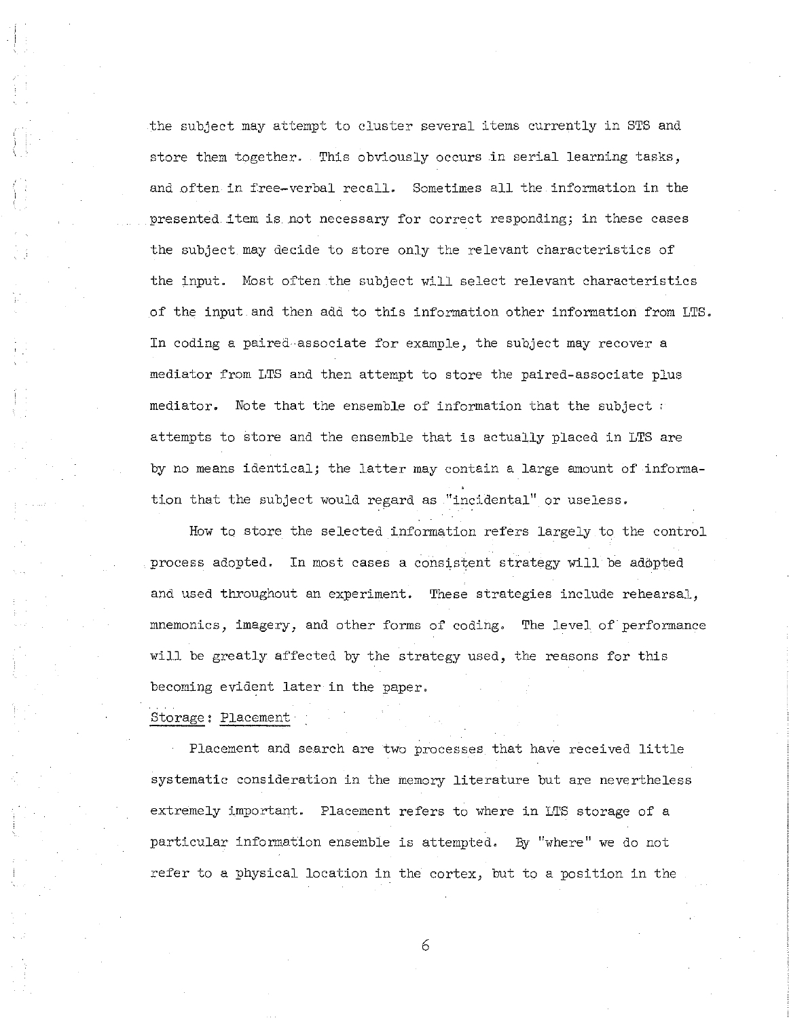the subject may attempt to cluster several items currently in STS and store them together. This obviously occurs in serial learning tasks, and often in free-verbal recall. Sometimes all the information in the presented item is not necessary for correct responding; in these cases the subject may decide to store only the relevant characteristics of the input. Most often the subject will select relevant characteristics of the input and then add to this information other information from LTS. In coding a paired associate for example, the subject may recover a mediator from LTS and then attempt to store the paired-associate plus mediator. Note that the ensemble of information that the subject  $\alpha$ attempts to store and the ensemble that is actually placed in LTS are by no means identical; the latter may contain a large amount of information that the subject would regard as "incidental" or useless.

How to store the selected information refers largely to the control process adopted. In most cases a consistent strategy will be adopted and used throughout an experiment. These strategies include rehearsal, mnemonics, imagery, and other forms of coding. The level of performance will be greatly affected by the strategy used, the reasons for this becoming evident later in the paper.

## Storage: Placement

Placement and search are two processes that have received little systematic consideration in the memory literature but are nevertheless extremely important. Placement refers to where in LTS storage of a particular information ensemble is attempted. By "where" we do not refer to a physical location in the cortex, but to a position in the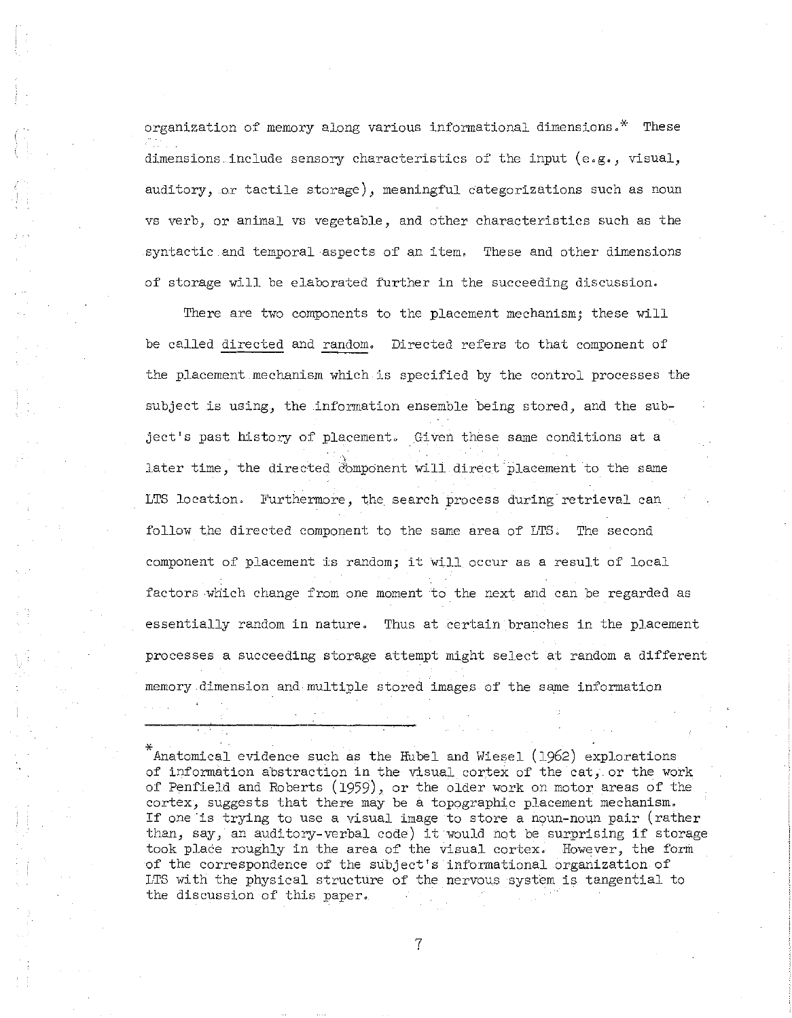organization of memory along various informational dimensions.\* These dimensions include sensory characteristics of the input (e.g., visual, auditory, or tactile storage), meaningful categorizations such as noun vs verb, or animal vs vegetable, and other characteristics such as the syntactic and temporal aspects of an item. These and other dimensions of storage will be elaborated further in the succeeding discussion.

There are two components to the placement mechanism; these will be called directed and random. Directed refers to that component of the placement mechanism which is specified by the control processes the subject is using, the information ensemble being stored, and the subject's past history of placement. Given these same conditions at a later time, the directed component will direct placement to the same LTS location. Furthermore, the search process during retrieval can follow the directed component to the same area of LTS. The second component of placement is random; it will occur as <sup>a</sup> result of local factors which change from one moment to the next and can be regarded as essentially random in nature. Thus at certain branches in the placement processes a succeeding storage attempt might select at random a different memory dimension and mUltiple stored images of the same information

\* Anatomical evidence such as the Rubel and Wiesel (1962) explorations of information abstraction in the visual cortex of the cat, or the work of Penfield and Roberts (1959), or the older work on motor areas of the cortex, suggests that there may be a topographic placement mechanism. If one is trying to use a visual image to store a noun-noun pair (rather than, say, an auditory-verbal code) it would not be surprising if storage took place roughly in the area of the visual cortex. However, the form of the correspondence of the subject's informational organization of LTS with the physical structure of the nervous system is tangential to the discussion of this paper.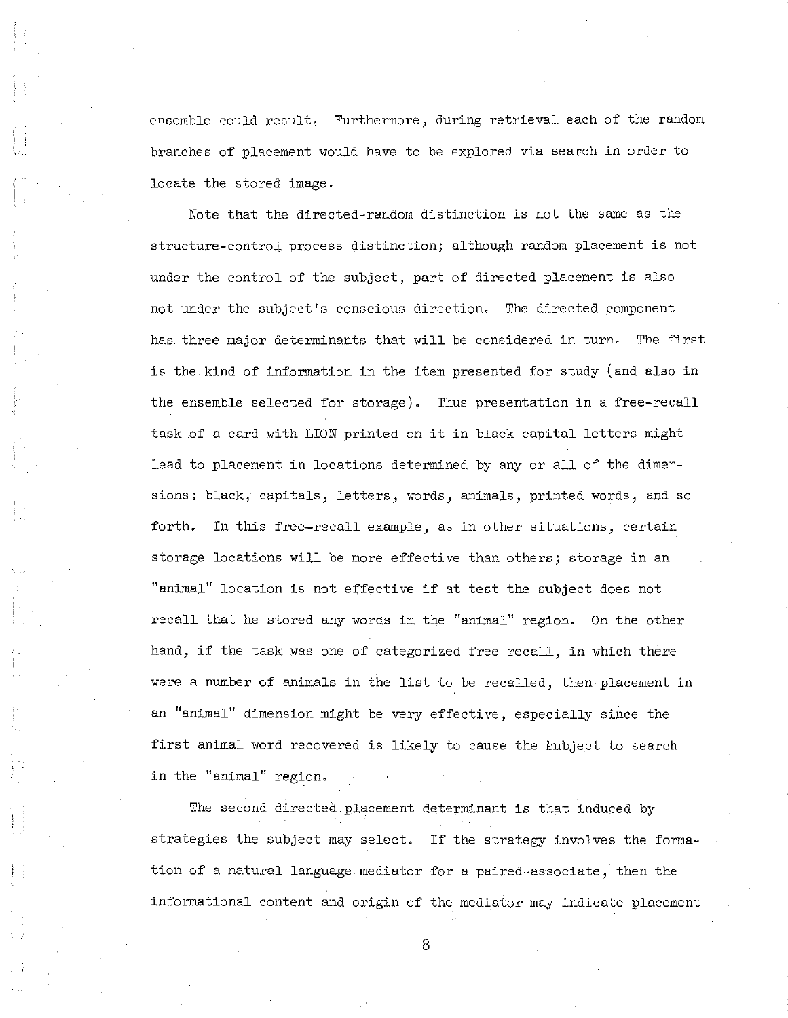ensemble could result. Furthermore, during retrieval each of the random branches of placement would have to be explored via search in order to locate the stored image.

Note that the directed-random distinction is not the same as the structure-control process distinction; although random placement is not under the control of the subject, part of directed placement is also not under the subject's conscious direction. The directed component has three major determinants that will be considered in turn. The first is the kind of information in the item presented for study (and also in the ensemble selected for storage). Thus presentation in a free-recall task of <sup>a</sup> card with LION printed on it in black capital letters might lead to placement in locations determined by any or all of the dimensions: black, capitals, letters, words, animals, printed words, and so forth. In this free-recall example, as in other situations, certain storage locations will be more effective than others; storage in an "animal" location is not effective if at test the subject does not recall that he stored any words in the "animal" region. On the other hand, if the task was one of categorized free recall, in which there were <sup>a</sup> number of animals in the list to be recalled, then placement in an "animal" dimension might be very effective, especially since the first animal word recovered is likely to cause the subject to search in the "animal" region.

The second directed.placement determinant is that induced by strategies the subject may select. If the strategy involves the formation of a natural language mediator for a paired·associate, then the informational content and origin of the mediator may indicate placement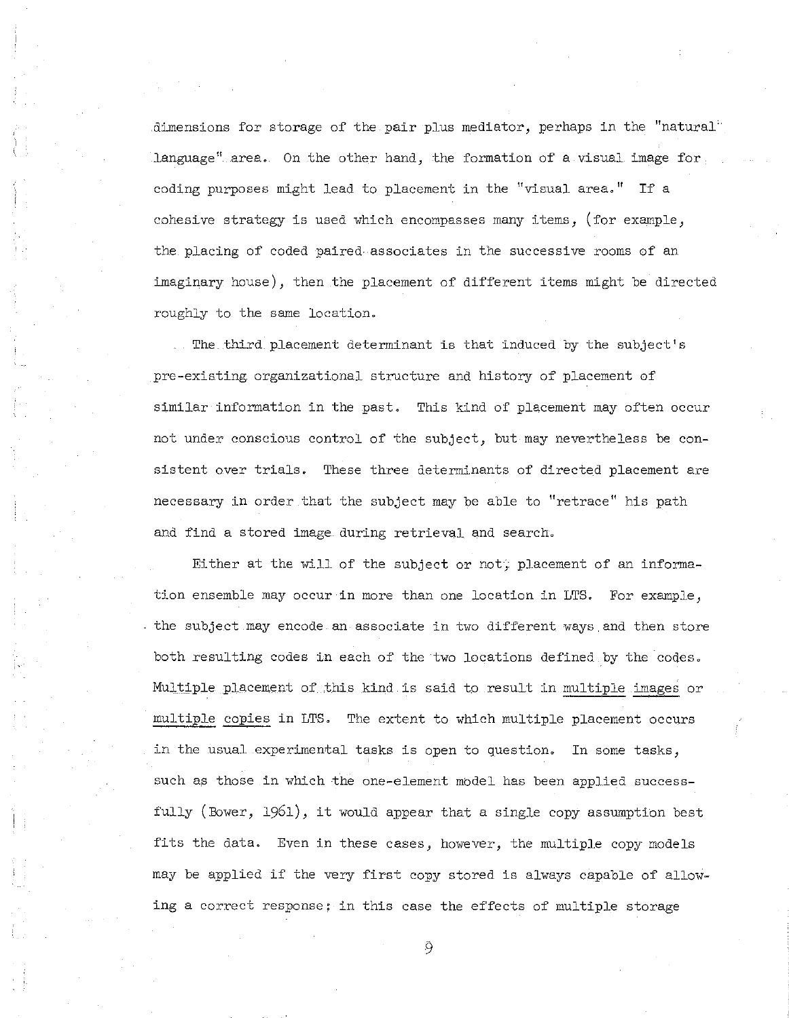dimensions for storage of the pair plus mediator, perhaps in the "natural' language" area. On the other hand, the formation of a visual image for. coding purposes might lead to placement in the "visual area." If <sup>a</sup> cohesive strategy is used which encompasses many items, (for example, the placing of coded paired associates in the successive rooms of an imaginary house), then the placement of different items might be directed roughly to the same location.

The. third placement determinant is that induced by the subject's pre-existing. organizational structure and history of placement of similar information in the past. This kind of placement may often occur not under conscious control of the subject, but may nevertheless be consistent over trials. These three determinants of directed placement are necessary in order that the subject may be able to "retrace" his path and find a stored image during retrieval and search.

Either at the will of the subject or not, placement of an information ensemble may occur in more than one location in LTS. For example, the subject may encode an associate in two different ways and then store both resulting codes in each of the two locations defined by the codes. MUltiple Placement of this kind is said to result in multiple images or multiple copies in LTS. The extent to which multiple placement occurs in the usual experimental tasks is open to question. In some tasks, such as those in which the one-element mbdel has been applied successfully (Bower, 1961), it would appear that <sup>a</sup> single copy assumption best fits the data. Even in these cases, however, the multiple copy models may be applied if the very first copy stored is always capable of allowing a correct response: in this case the effects of multiple storage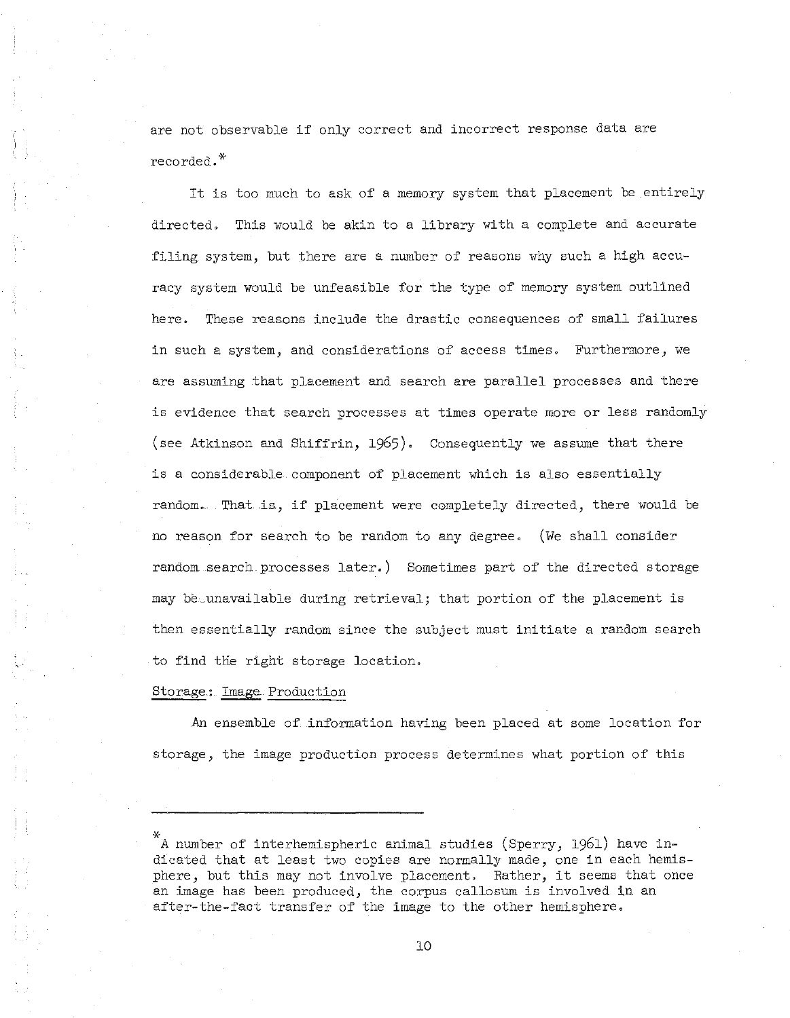are not observable if only correct and incorrect response data are recorded.\*

It is too much to ask of <sup>a</sup> memory system that placement be entirely directed. This would be akin to a library with a complete and accurate filing system, but there are a number of reasons why such a high accuracy system would be unfeasible for the type of memory system outlined here. These reasons include the drastic consequences of small failures in such a system, and considerations of access times. Furthermore, we are assuming that placement and search are parallel processes and there is evidence that search processes at times operate more or less randomly (see Atkinson and Shiffrin, 1965). Consequently we assume that there is a considerable component of placement which is also essentially random.. That is, if placement were completely directed, there would be no reason for search to be random to any degree. (We shall consider random search. processes later.) Sometimes part of the directed storage may be unavailable during retrieval; that portion of the placement is then essentially random since the subject must initiate a random search to find the right storage location.

### Storage.: Image Production

An ensemble of information having been placed at some location for storage, the image production process determines what portion of this

<sup>\*</sup> A number of interhemispheric animal studies (Sperry, 1961) have indicated that at least two copies are normally made, one in each hemisphere, but this may not involve placement. Rather, it seems that once an image has been produced, the corpus callosum is involved in an after-the-fact transfer of the image to the other hemisphere.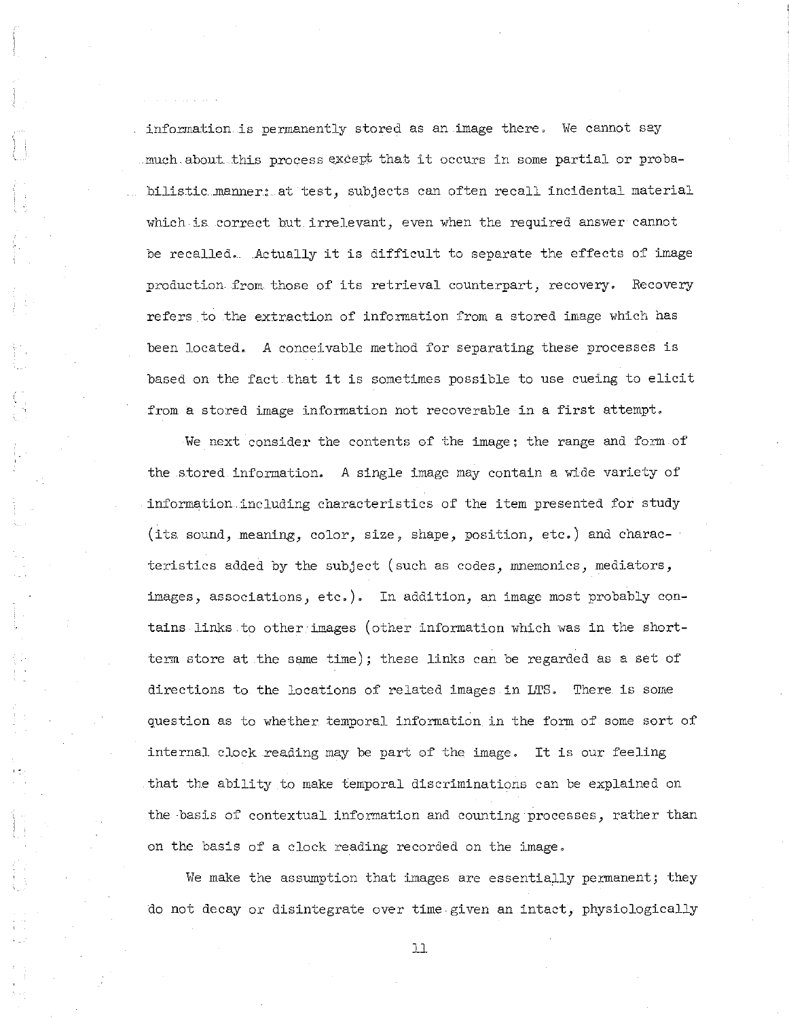information is permanently stored as an image there. We cannot say much about this process except that it occurs in some partial or probabilistic manner: at test, subjects can often recall incidental material which is. correct but irrelevant, even when the required answer cannot be recalled, Actually it is difficult to separate the effects of image production. from those of its retrieval counterpart, recovery, Recovery refers to the extraction of information from a stored image which has been located. A conceivable method for separating these processes is based on the fact that it is sometimes possible to use cueing to elicit from a stored image information not recoverable in a first attempt.

We next consider the contents of the image: the range and form of the stored information. A single image may contain a wide variety of information.including characteristics of the item presented for study (its sound, meaning, color, size, shape, position, etc.) and characteristics added by the subject (such as codes, mnemonics, mediators, images, associations, etc.). In addition, an image most probably contains links to other images (other information which was in the shortterm store at the same time); these links can be regarded as a set of directions to the locations of related images in LTS. There is some question as to whether temporal information in the form of some sort of internal clock reading may be part of the image. It is our feeling that the ability to make temporal discriminations can be explained on the basis of contextual information and counting processes, rather than on the basis of a clock reading recorded on the image.

We make the assumption that images are essentially permanent; they do not decay or disintegrate over time given an intact, physiologically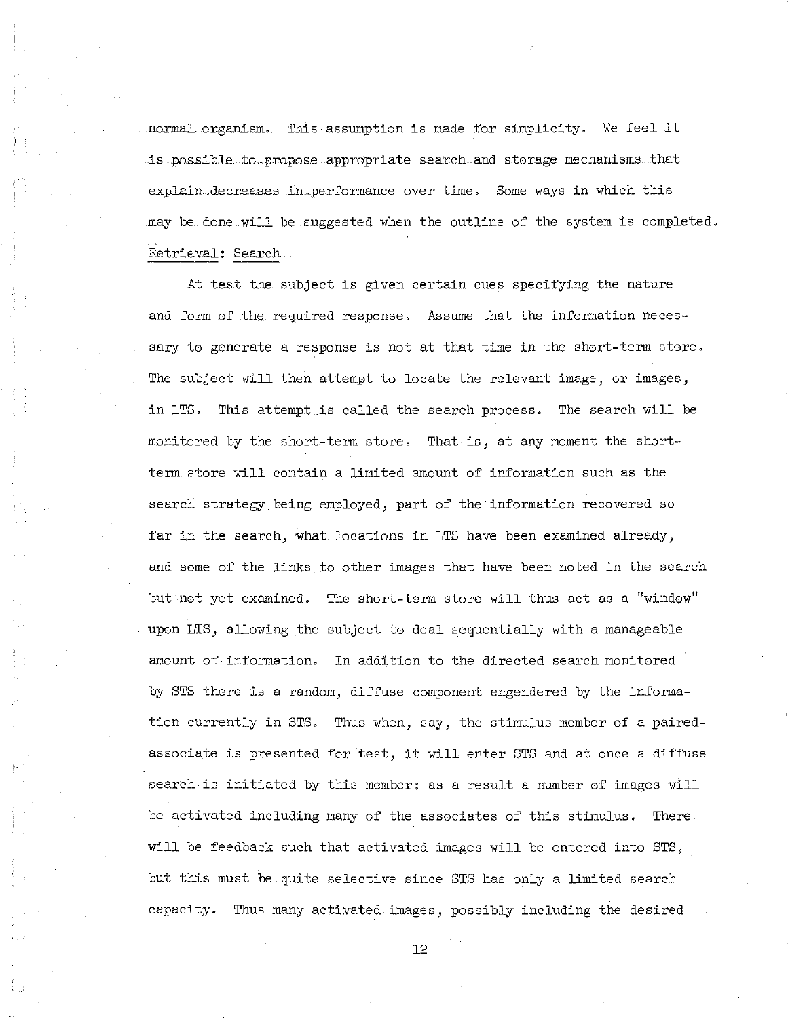normal organism. This asswnption is made for simplicity. We feel it .is .possible .to.... propose appropriate search and storage mechanisms that explain decreases in performance over time. Some ways in which this may be done.will be suggested when the outline of the system is completed. Retrieval: Search

At test the subject is given certain cues specifying the nature and form of the required response. Asswne that the information necessary to generate a response is not at that time in the short-term store. The subject will then attempt to locate the relevant image, or images, in LTS. This attempt is called the search process. The search will be monitored by the short-term store. That is, at any moment the shortterm store will contain a limited amount of information such as the search strategy being employed, part of the information recovered so far in the search, what locations in LTS have been examined already, and some of the links to other images that have been noted in the search but not yet examined. The short-term store will thus act as a "window" upon LTS, allowing the subject to deal sequentially with a manageable amount of information. In addition to the directed search monitored by STS there is a random, diffuse component engendered by the information currently in STS. Thus when, say, the stimulus member of a pairedassociate is presented for test, it will enter STS and at once <sup>a</sup> diffuse search is initiated by this member: as a result a number of images will be activated including many of the associates of this stimulus. There will be feedback such that activated images will be entered into STS, but this must be. quite selective since STS has only a limited search capacity. Thus many activated images, possibly including the desired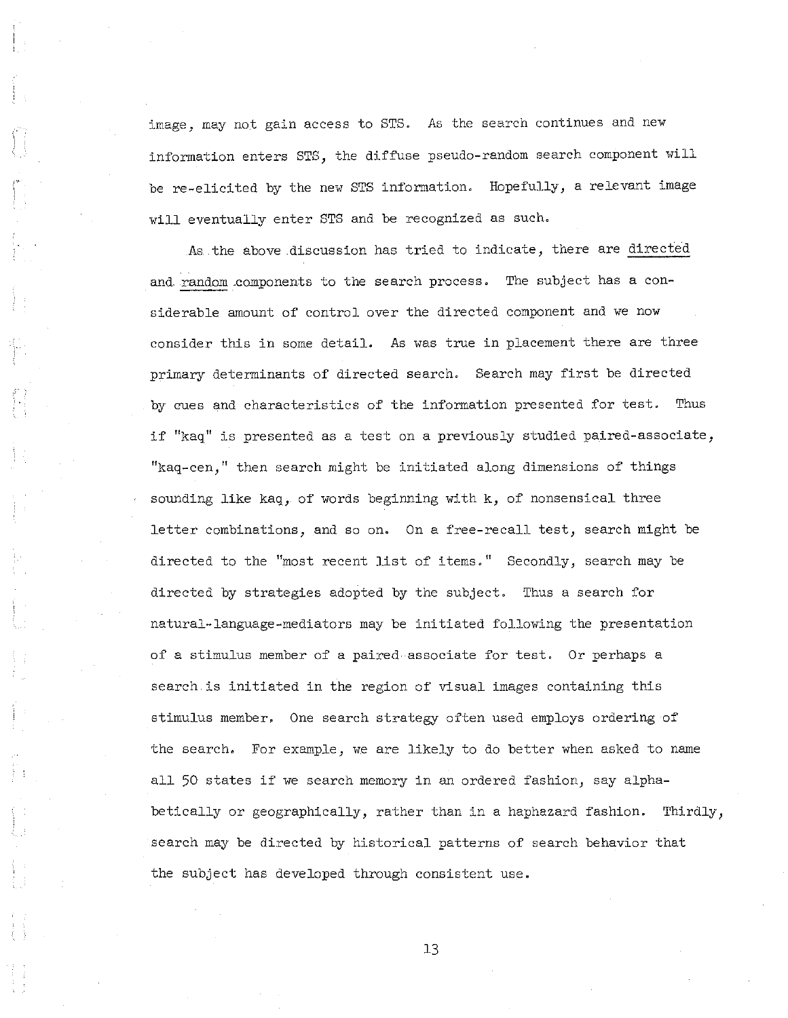image, may not gain access to STS. As the search continues and new information enters STS, the diffuse pseudo-random search component will be re-elicited by the new STS information. Hopefully, a relevant image will eventually enter STS and be recognized as such.

As the above discussion has tried to indicate, there are directed and random components to the search process. The subject has a considerable amount of control over the directed component and we now consider this in some detail. As was true in placement there are three primary determinants of directed search. Search may first be directed by cues and characteristics of the information presented for test. Thus if "kaq" is presented as <sup>a</sup> test on <sup>a</sup> previously studied paired-associate, "kaq-cen," then search might be initiated along dimensions of things sounding like kaq, of words beginning with k, of nonsensical three letter combinations, and so on. On a free-recall test, search might be directed to the "most recent list of items." Secondly, search may be directed by strategies adopted by the subject. Thus a search for natural-language-mediators may be initiated following the presentation of a stimulus member of a paired-associate for test. Or perhaps a search is initiated in the region of visual images containing this stimulus member. One search strategy often used employs ordering of the search. For example, we are likely to do better when asked to name all 50 states if we search memory in an ordered fashion, say alphabetically or geographically, rather than in a haphazard fashion. Thirdly, search may be directed by historical patterns of search behavior that the subject has developed through consistent use.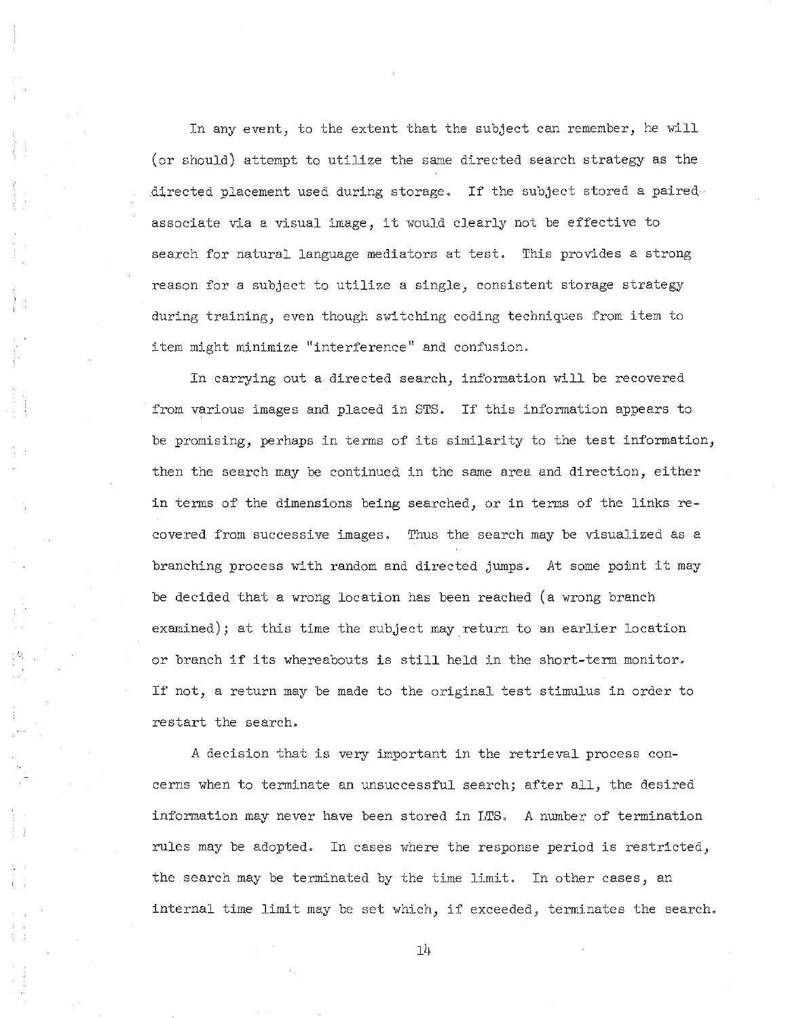In any event, to the extent that the subject can remember, he will (or should) attempt to utilize the same directed search strategy as the directed placement used during storage. If the subject stored <sup>a</sup> paired· associate via <sup>a</sup> visual image, it would clearly not be effective to search for natural language mediators at test. This provides a strong reason for a subject to utilize a single, consistent storage strategy during training, even though switching coding techniques from item to **i tern might minimize II interference <sup>11</sup> and confusion.**

In carrying out a directed search, information will be recovered from various images and placed in STS. If this information appears to be promising, perhaps in terms of its similarity to the test information, then the search may be continued in the same area and direction, either in terms of the dimensions being searched, or in terms of the links recovered from successive images. Thus the search may be visualized as a branching process with random and directed jumps. At *some* point it may be decided that a wrong location has been reached (a wrong branch examined); at this time the subject may return to an earlier location or branch if its whereabouts is still held in the short-term monitor. If not, <sup>a</sup> return may be made to the original test stimulus in order to restart the search.

A decision that is very important in the retrieval process concerns when to terminate an unsuccessful search; after all, the desired information may never have been stored in LTS. A number of termination rules may be adopted. In cases where the response period is restricted, the search may be terminated by the time limit. In other cases, an internal time limit may be set which, if exceeded, terminates the search.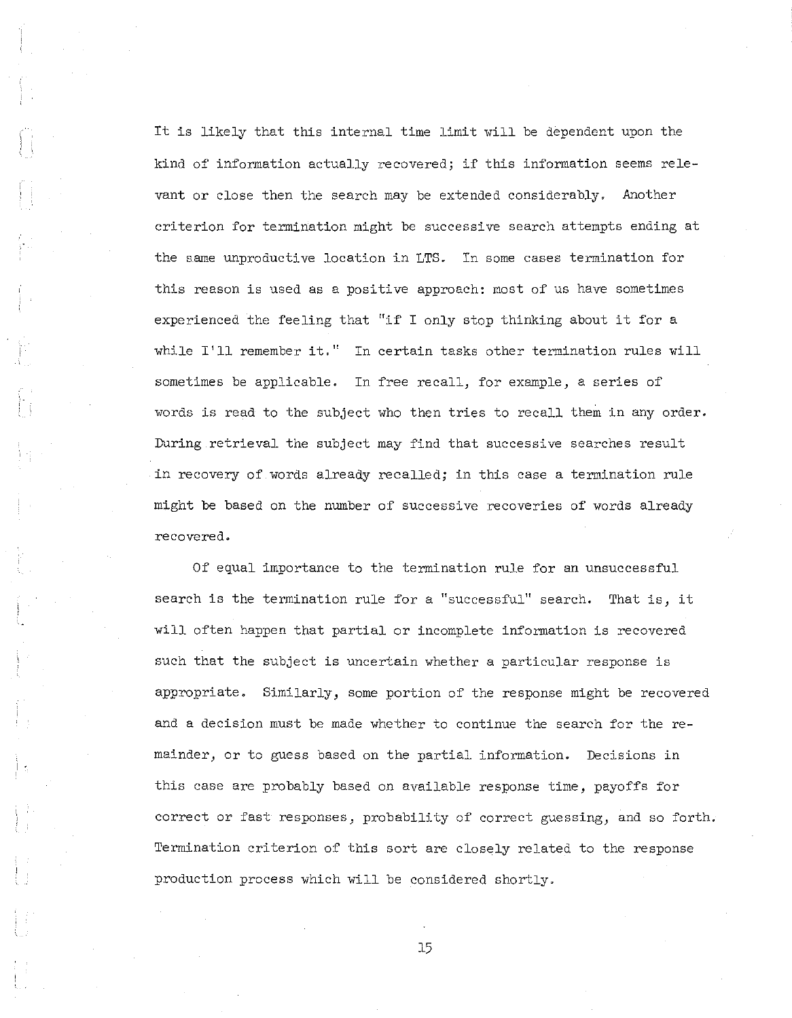It is likely that this internal time limit will be dependent upon the kind of information actually recovered; if this information seems relevant or close then the search may be extended considerably. Another criterion for termination might be successive search attempts ending at the same unproductive location in LTS. In some cases termination for this reason is used as a positive approach: most of us have sometimes experienced the feeling that "if <sup>I</sup> only stop thinking about it for <sup>a</sup> while I'll remember it." In certain tasks other termination rules will sometimes be applicable. In free recall, for example, a series of words is read to the subject who then tries to recall them in any order. During retrieval the subject may find that successive searches result in recovery of words already recalled; in this case a termination rule might be based on the number of successive recoveries of words already recovered.

Of equal importance to the termination rule for an unsuccessful search is the termination rule for <sup>a</sup> "successful" search. That is, it will often happen that partial or incomplete information is recovered such that the subject is uncertain whether a particular response is appropriate. Similarly, Some portion of the response might be recovered and a decision must be made whether to continue the search for the remainder, or to guess based on the partial information. Decisions in this case are probably based on available response time, payoffs for correct or fast responses, probability of correct guessing, and so forth. Termination criterion of this sort are closely related to the response production process which will be considered shortly.

I •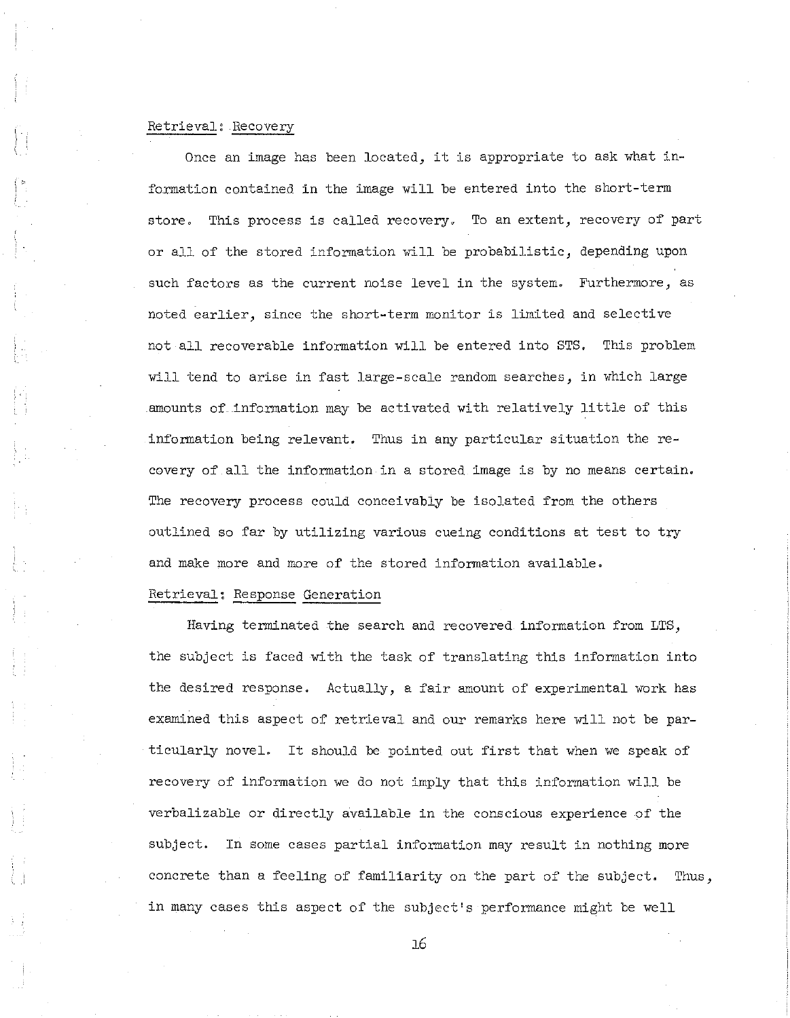# Retrieval: Recovery

Once an image has been located, it is appropriate to ask what information contained in the image will be entered into the short-term store. This process is called recovery. To an extent, recovery of part or all of the stored information will be probabilistic, depending upon such factors as the current noise level in the system. Furthermore, as noted earlier, since the short-term monitor is limited and selective not all recoverable information will be entered into STS. This problem will tend to arise in fast large-scale random searches, in which large amounts of information may be activated with relatively little of this information being relevant. Thus in any particular situation the recovery of all the information in a stored image is by no means certain. The recovery process could conceivably be isolated from the others outlined so far by utilizing various cueing conditions at test to try and make more and more of the stored information available.

## Retrieval: Response Generation

Having terminated the search and recovered information from LTS, the subject is faced with the task of translating this information into the desired response. Actually, a fair amount of experimental work has examined this aspect of retrieval and our remarks here will not be particularly novel. It should be pointed out first that when we speak of recovery of information we do not imply that this information will be verbalizable or directly available in the conscious experience of the subject. In some cases partial information may result in nothing more concrete than a feeling of familiarity on the part of the subject. Thus, in many cases this aspect of the subject's performance might be well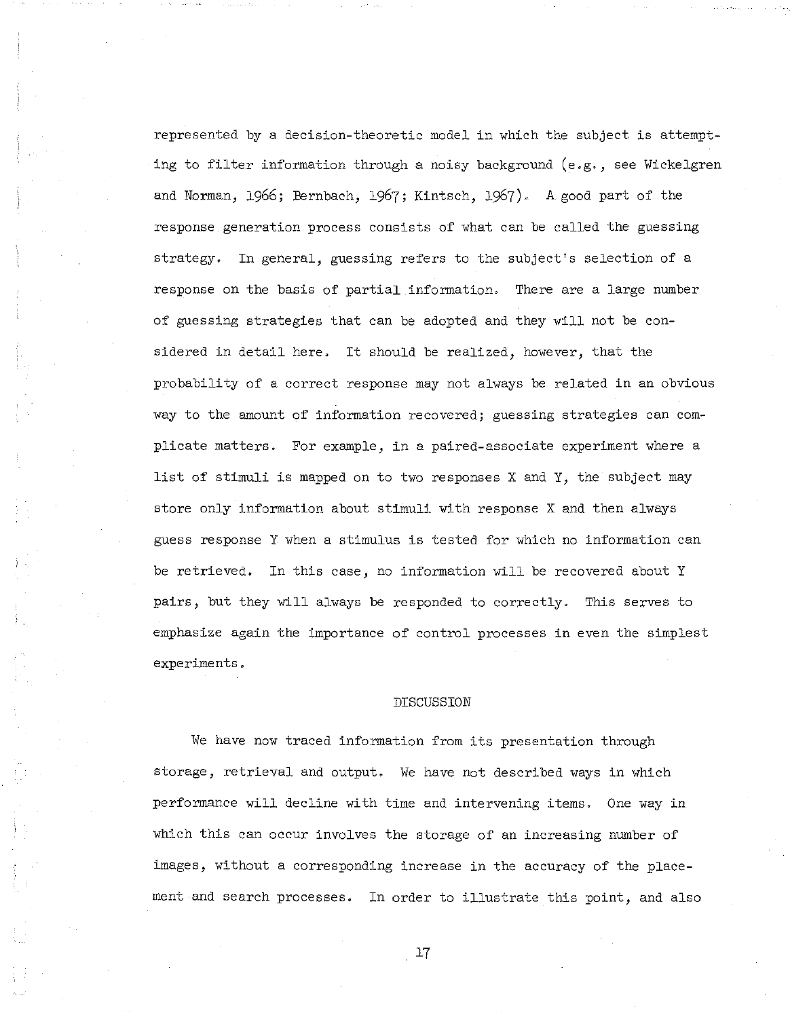represented by a decision-theoretic model in which the subject is attempting to filter information through a noisy background (e.g., see Wickelgren and Norman, 1966; Bernbach, 1967; Kintsch, 1967). A good part of the response generation process consists of what can be called the guessing strategy. In general, guessing refers to the subject's selection of a response on the basis of partial information. There are a large number of guessing strategies that can be adopted and they will not be considered in detail here. It should be realized, however, that the probability of a correct response may not always be related in an obvious way to the amount of information recovered; guessing strategies can complicate matters. For example, in a paired-associate experiment where a list of stimuli is mapped on to two responses <sup>X</sup> and Y, the subject may store only information about stimuli with response X and then always guess response Y when a stimulus is tested for which no information can be retrieved. In this case, no information will be recovered about Y pairs, but they will always be responded to correctly. This serves to emphasize again the importance of control processes in even the simplest experiments.

### DISCUSSION

We have now traced information from its presentation through storage, retrieval and output. We have not described ways in which performance will decline with time and intervening items. One way in which this can occur involves the storage of an increasing number of images, without a corresponding increase in the accuracy of the placement and search processes. In order to illustrate this point, and also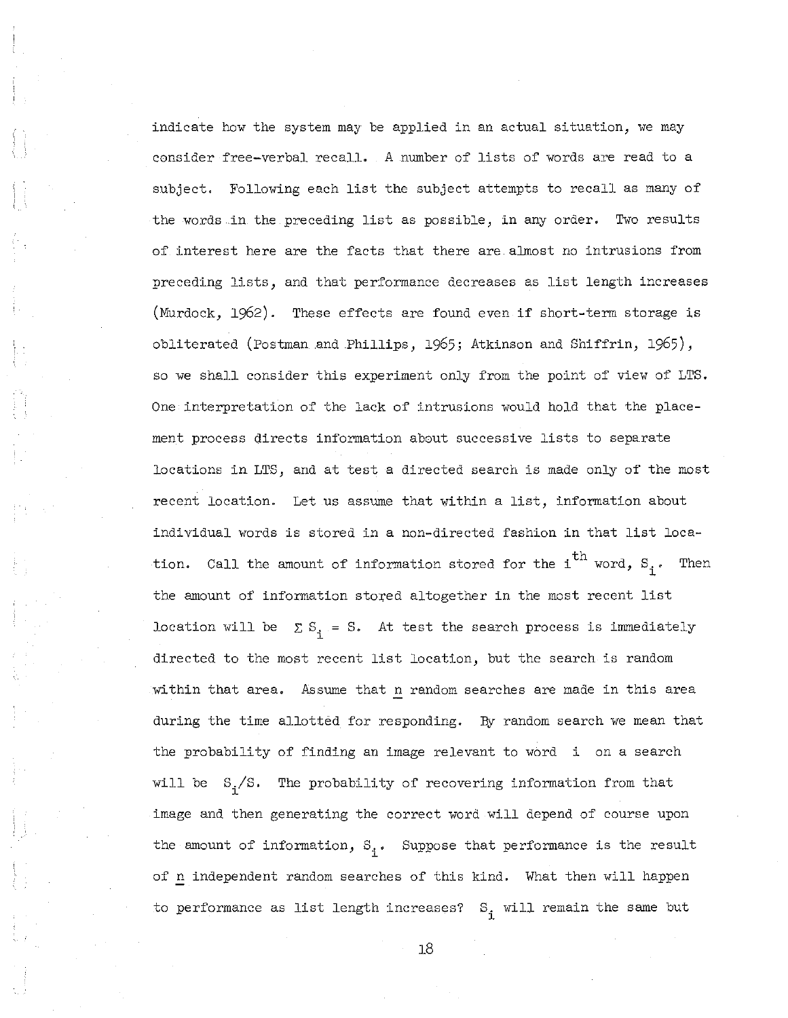indicate how the system may be applied in an actual situation, we may consider free-verbal recall. A number of lists of words are read to a subject. Following each list the subject attempts to recall as many of the words in the preceding list as possible, in any order. Two results of interest here are the facts that there are almost no intrusions from preceding lists, and that performance decreases as list length increases (Murdock, 1962). These effects are found even if short-term storage is obliterated (Postman and Phillips, 1965; Atkinson and Shiffrin, 1965), so we shall consider this experiment only from the point of view of LTS. One interpretation of the lack of intrusions would hold that the placement process directs information about successive lists to separate locations in LTS, and at test a directed search is made only of the most recent location. Let us assume that within <sup>a</sup> list, information about individual words is stored in <sup>a</sup> non-directed fashion in that list location. Call the amount of information stored for the  $i^{th}$  word,  $s_i$ . Then the amount of information stored altogether in the most recent list location will be  $\sum S_i = S$ . At test the search process is immediately directed to the most recent list location, but the search is random within that area. Assume that n random searches are made in this area during the time allotted for responding. By random search we mean that the probability of finding an image relevant to word i on a search will be  $S_i/S$ . The probability of recovering information from that image and then generating the correct word will depend of course upon the amount of information,  $S_i$ . Suppose that performance is the result of n independent random searches of this kind. What then will happen to performance as list length increases?  $S_j$  will remain the same but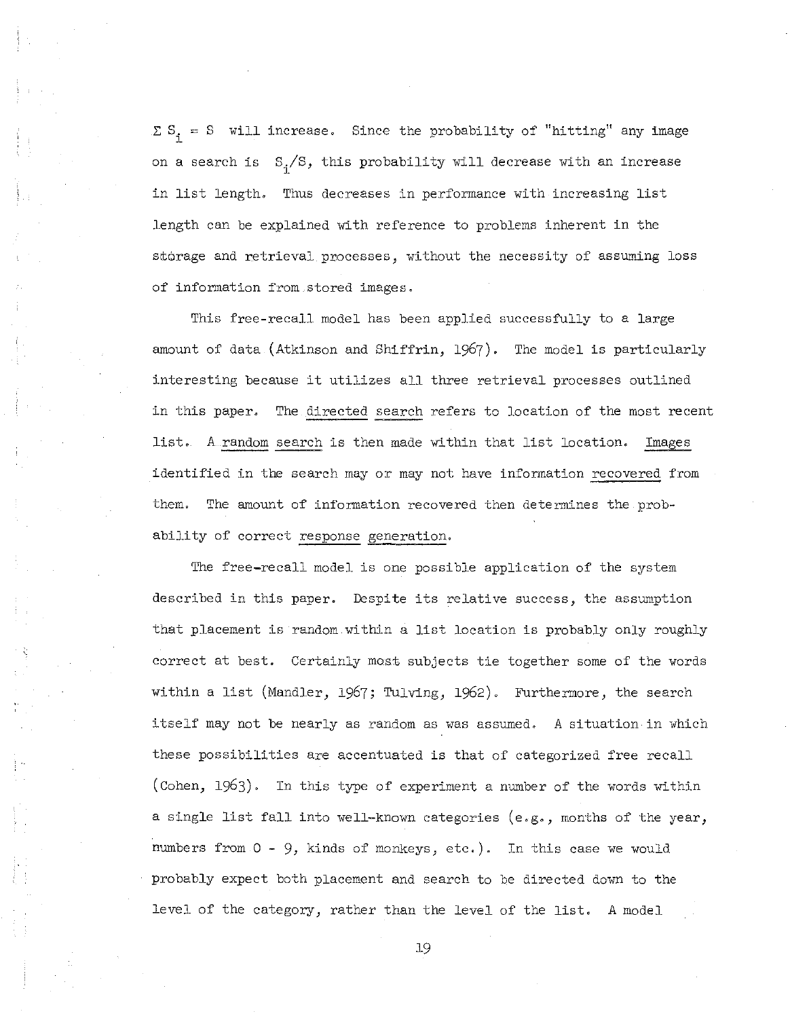$\Sigma S_i = S$  will increase. Since the probability of "hitting" any image on a search is  $\ S_{\text{i}}\!/s$ , this probability will decrease with an increase in list length. Thus decreases in performance with increasing list length can be explained with reference to problems inherent in the storage and retrieval processes, without the necessity of assuming loss of information from stored images.

This free-recall model has been applied successfully to a large amount of data (Atkinson and Shiffrin, 1967). The model is particularly interesting because it utilizes all three retrieval processes outlined in this paper. The directed search refers to location of the most recent list. <sup>A</sup> random search is then made within that list location. Images identified in the search mayor may not have information recovered from them. The amount of information recovered then determines the probability of correct response generation.

The free-recall model is one possible application of the system described in this paper. Despite its relative success, the assumption that placement is random within <sup>a</sup> list location is probably only roughly correct at best. Certainly most subjects tie together some of the words within <sup>a</sup> list (Mandler, 1967; Tulving, 1962). Furthermore, the search itself may not be nearly as random as was assumed. A situation in which these possibilities are accentuated is that of categorized free recall (Cohen, 1963). In this type of experiment a number of the words within <sup>a</sup> single list fall into well-known categories (e.g., months of the year, numbers from  $0 - 9$ , kinds of monkeys, etc.). In this case we would probably expect both placement and search to be directed down to the level of the category, rather than the level of the list. <sup>A</sup> model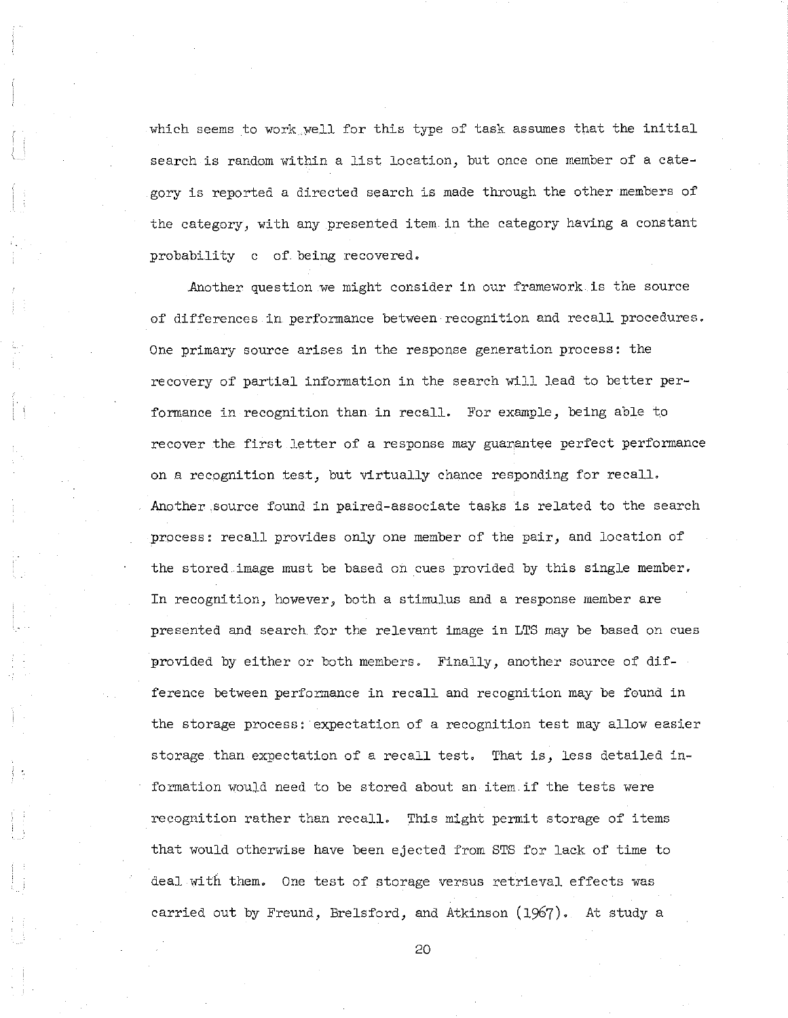which seems to work well for this type of task assumes that the initial search is random within <sup>a</sup> list location, but once one member of <sup>a</sup> category is reported a directed search is made through the other members of the category, with any presented item in the category having a constant probability c of being recovered.

Another question we might consider in our framework is the source of differences in performance between recognition and recall procedures. One primary source arises in the response generation process: the recovery of partial information in the search will lead to better performance in recognition than in recall. For example, being able to recover the first letter of a response may guarantee perfect performance on a recognition test, but virtually chance responding for recall. Another source found in paired-associate tasks is related to the search process: recall provides only one member of the pair, and location of the stored image must be based on cues provided by this single member. In recognition, however, both a stimulus and a response member are presented and search for the relevant image in LTS may be based on cues provided by either or both members. Finally, another source of difference between performance in recall and recognition may be found in the storage process: expectation of a recognition test may allow easier storage than expectation of a recall test. That is, less detailed information would need to be stored about an item if the tests were recognition rather than recall. This might permit storage of items that would otherwise have been ejected from STS for lack of time to deal with them. One test of storage versus retrieval effects was carried out by Freund, Brelsford, and Atkinson (1967). At study a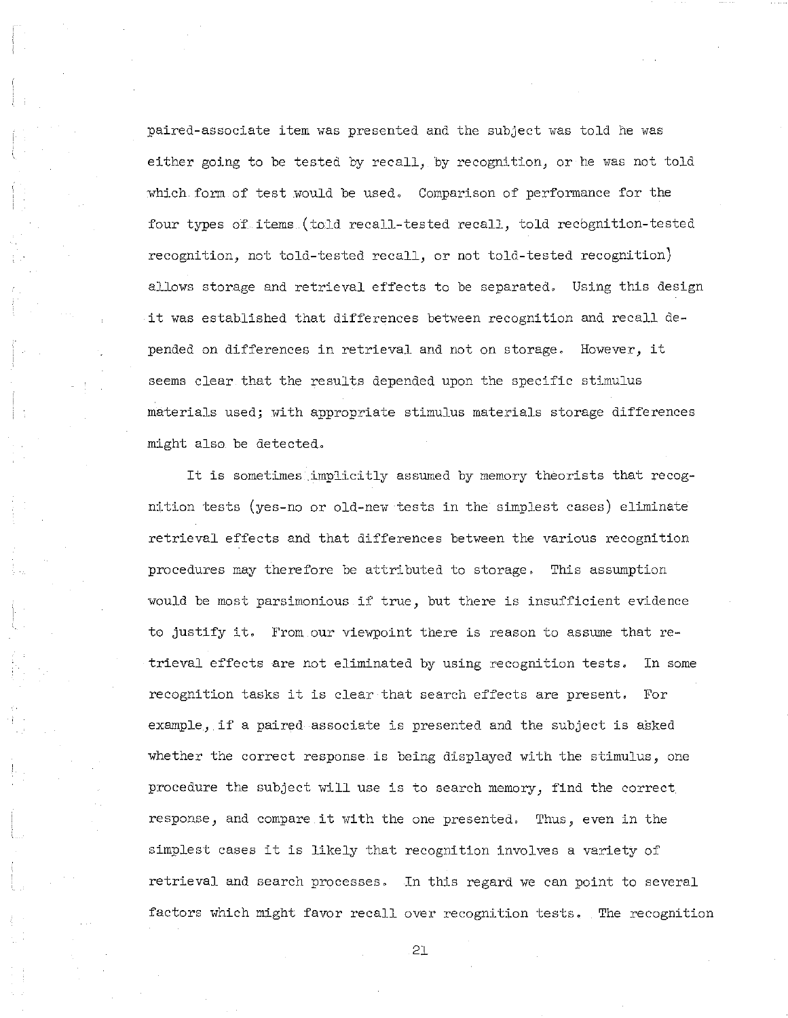paired-associate item was presented and the subject was told he was either going to be tested by recall, by recognition, or he was not told which form of test would be used. Comparison of performance for the four types of items (told recall-tested recall, told recbgnition-tested recognition, not told-tested recall, or not told-tested recognition) allows storage and retrieval effects to be separated. Using this design it was established that differences between recognition and recall depended on differences in retrieval and not on storage. However, it seems clear that the results depended upon the specific stimulus materials used; with appropriate stimulus materials storage differences might also be detected.

It is sometimes implicitly assumed by memory theorists that recognition tests (yes-no or old-new tests in the simplest cases) eliminate retrieval effects and that differences between the various recognition procedures may therefore be attributed to storage. This assumption would be most parsimonious if true, but there is insufficient evidence to justify it. From our viewpoint there is reason to assume that retrieval effects are not eliminated by using recognition tests. In some recognition tasks it is clear that search effects are present. For example, if <sup>a</sup> paired associate is presented and the subject is asked whether the correct response is being displayed with the stimulus, one procedure the subject will use is to search memory, find the correct response, and compare it with the one presented. Thus, *even* in the simplest cases it is likely that recognition involves <sup>a</sup> variety of retrieval and search processes. In this regard we can point to several factors which might favor recall *over* recognition tests. The recognition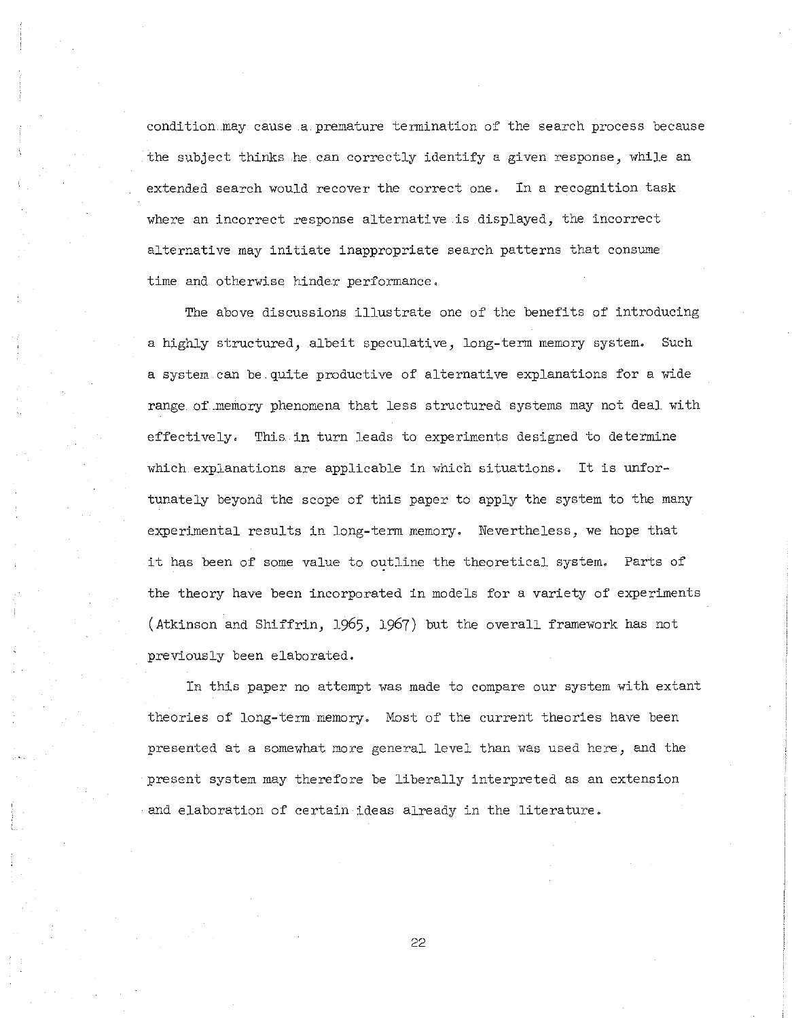condition. may cause a premature termination of the search process because the subject thinks he can correctly identify a given response, while an extended search would recover the correct one. In a recognition task where an incorrect response alternative is displayed, the incorrect alternative may initiate inappropriate search patterns that consume time and otherwise hinder performance.

The above discussions illustrate one of the benefits of introducing a highly structured, albeit speculative, long-term memory system. Such a system can be. quite productive of alternative explanations for a wide range of.memory phenomena that less structured systems may not deal with effectively. This in turn leads to experiments designed to determine which explanations are applicable in which situations. It is unfortunately beyond the scope of this paper to apply the system to the many experimental results in long-term memory. Nevertheless, we hope that it has been of some value to outline the theoretical system. Parts of the theory have been incorporated in models for a variety of experiments (Atkinson and Shiffrin, 1965, 1967) but the overall framework has not previously been elaborated.

In this paper no attempt was made to compare our system with extant theories of long-term memory. Most of the current theories have been presented at a somewhat more general level than was used here, and the present system may therefore be liberally interpreted as an extension and elaboration of certain ideas already in the literature.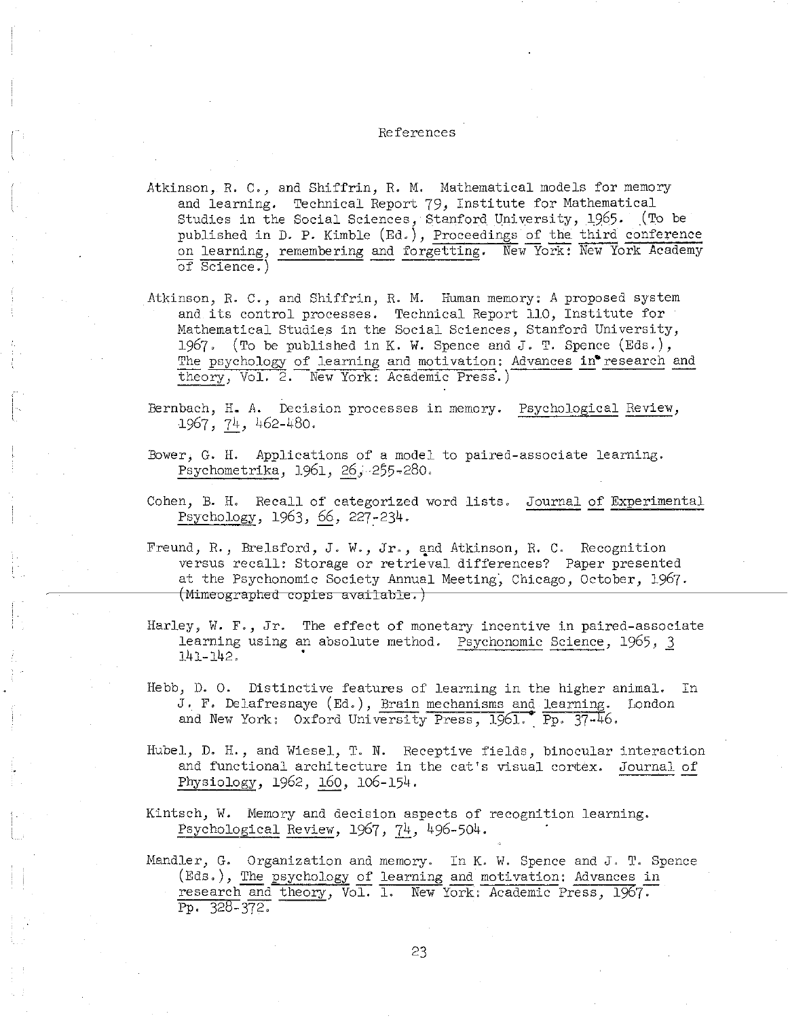#### References

- Atkinson, R. C., and Shiffrin, R. M. Mathematical models for memory and learning. Technical Report 79, Institute for Mathematical Studies in the Social Sciences, Stanford University, 1965. (To be published in D. P. Kimble (Ed.), Proceedings of the third conference on learning, remembering and forgetting. New-York: New York Academy of Science.)
- Atkinson, R. C., and Shiffrin, R. M. Human memory: *A* proposed system and its control processes. Technical Report 110, Institute for Mathematical Studies in the Social Sciences, Stanford University, 1967. (To be published in K. W. Spence and J. T. Spence (Eds.), The psychology of learning and motivation: Advances in research and theory, Vol. 2. New York: Academic Press.)
- Bernbach, H. *A.* Decision processes in memory. Psychological Review, 1967, 74, 462-480.

i'- I

- Bower, G. H. Applications of a model to paired-associate learning. Psychometrika, 1961, 26, 255-280.
- Cohen, B. H. Recall of categorized word lists. Journal of Experimental Psychology, 1963, 66, 227~234.
- Freund, R., Brelsford, J. W., Jr., and Atkinson, R. C. Recognition versus recall: Storage or retrieval differences? Paper presented at the Psychonomic Society Annual Meeting, Chicago, October, 1967. ~--------+-(M±meoglaplred**copies available.)**
- Harley, W. F., Jr. The effect of monetary incentive in paired-associate learning using an absolute method. Psychonomic Science, 1965, 3 141-142.
- Hebb, D. O. Distinctive features of learning in the higher animal. In J., F. Delafresnaye (Ed.), Brain mechanisms and learning. London and New York: Oxford University Press, 1961. Pp. 37-46.
- Hubel, D. H., and Wiesel, T. N. Receptive fields, binocular interaction and functional architecture in the cat's visual cortex. Journal of Physiology, 1962, 160, 106-154.
- Kintsch, W. Memory and decision aspects of recognition learning. Psychological Review, 1967, 74, 496-504.
- Mandler, G. Organization and memory. In K. W. Spence and J. T. Spence (Eds.), The psychology of learning and motivation: Advances in research and theory, Vol. 1. New York: Academic Press, 1967. Pp. 328-372.